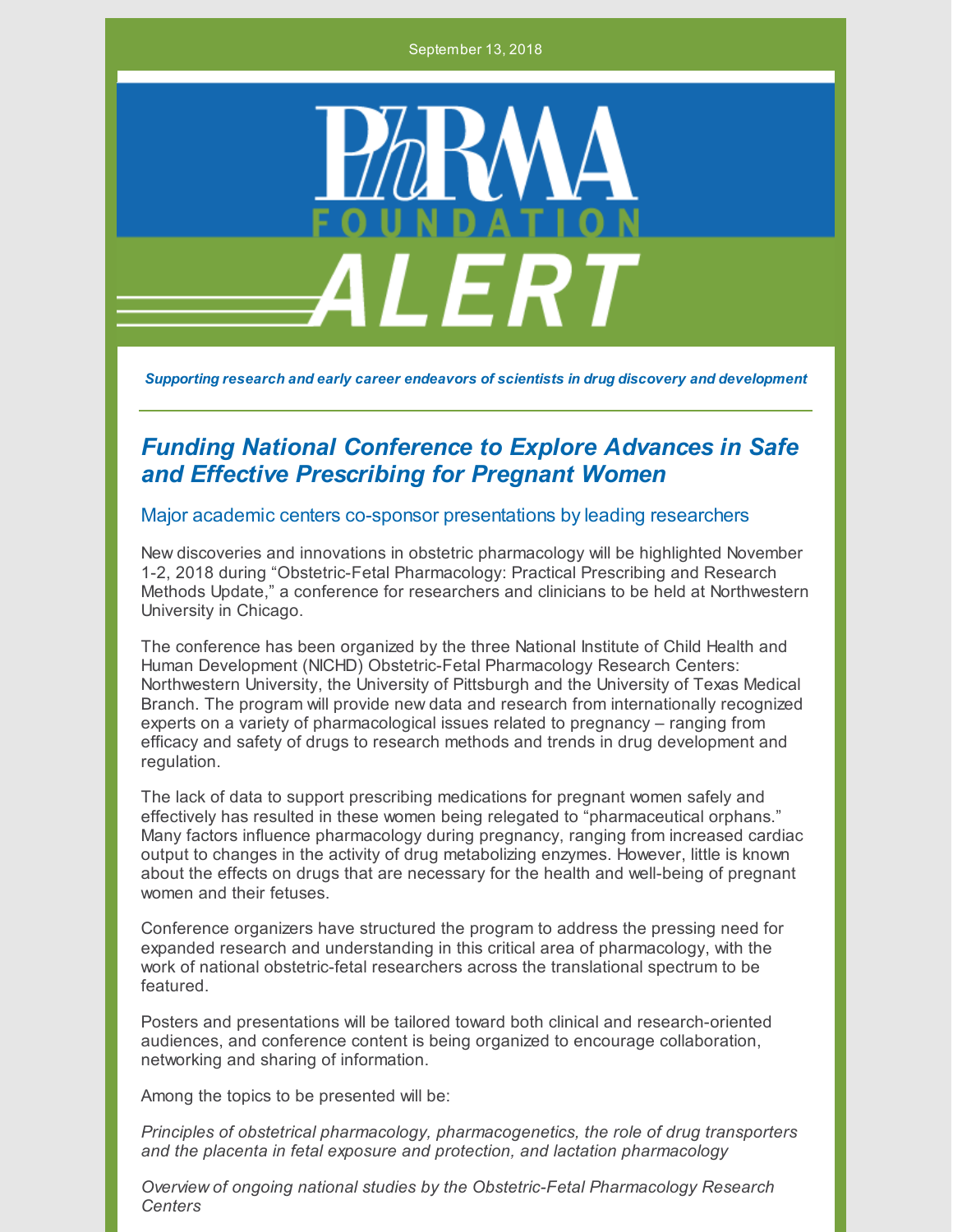September 13, 2018



*Supporting research and early career endeavors of scientists in drug discovery and development*

## *Funding National Conference to Explore Advances in Safe and Effective Prescribing for Pregnant Women*

## Major academic centers co-sponsor presentations by leading researchers

New discoveries and innovations in obstetric pharmacology will be highlighted November 1-2, 2018 during "Obstetric-Fetal Pharmacology: Practical Prescribing and Research Methods Update," a conference for researchers and clinicians to be held at Northwestern University in Chicago.

The conference has been organized by the three National Institute of Child Health and Human Development (NICHD) Obstetric-Fetal Pharmacology Research Centers: Northwestern University, the University of Pittsburgh and the University of Texas Medical Branch. The program will provide new data and research from internationally recognized experts on a variety of pharmacological issues related to pregnancy – ranging from efficacy and safety of drugs to research methods and trends in drug development and regulation.

The lack of data to support prescribing medications for pregnant women safely and effectively has resulted in these women being relegated to "pharmaceutical orphans." Many factors influence pharmacology during pregnancy, ranging from increased cardiac output to changes in the activity of drug metabolizing enzymes. However, little is known about the effects on drugs that are necessary for the health and well-being of pregnant women and their fetuses.

Conference organizers have structured the program to address the pressing need for expanded research and understanding in this critical area of pharmacology, with the work of national obstetric-fetal researchers across the translational spectrum to be featured.

Posters and presentations will be tailored toward both clinical and research-oriented audiences, and conference content is being organized to encourage collaboration, networking and sharing of information.

Among the topics to be presented will be:

*Principles of obstetrical pharmacology, pharmacogenetics, the role of drug transporters and the placenta in fetal exposure and protection, and lactation pharmacology*

*Overview of ongoing national studies by the Obstetric-Fetal Pharmacology Research Centers*